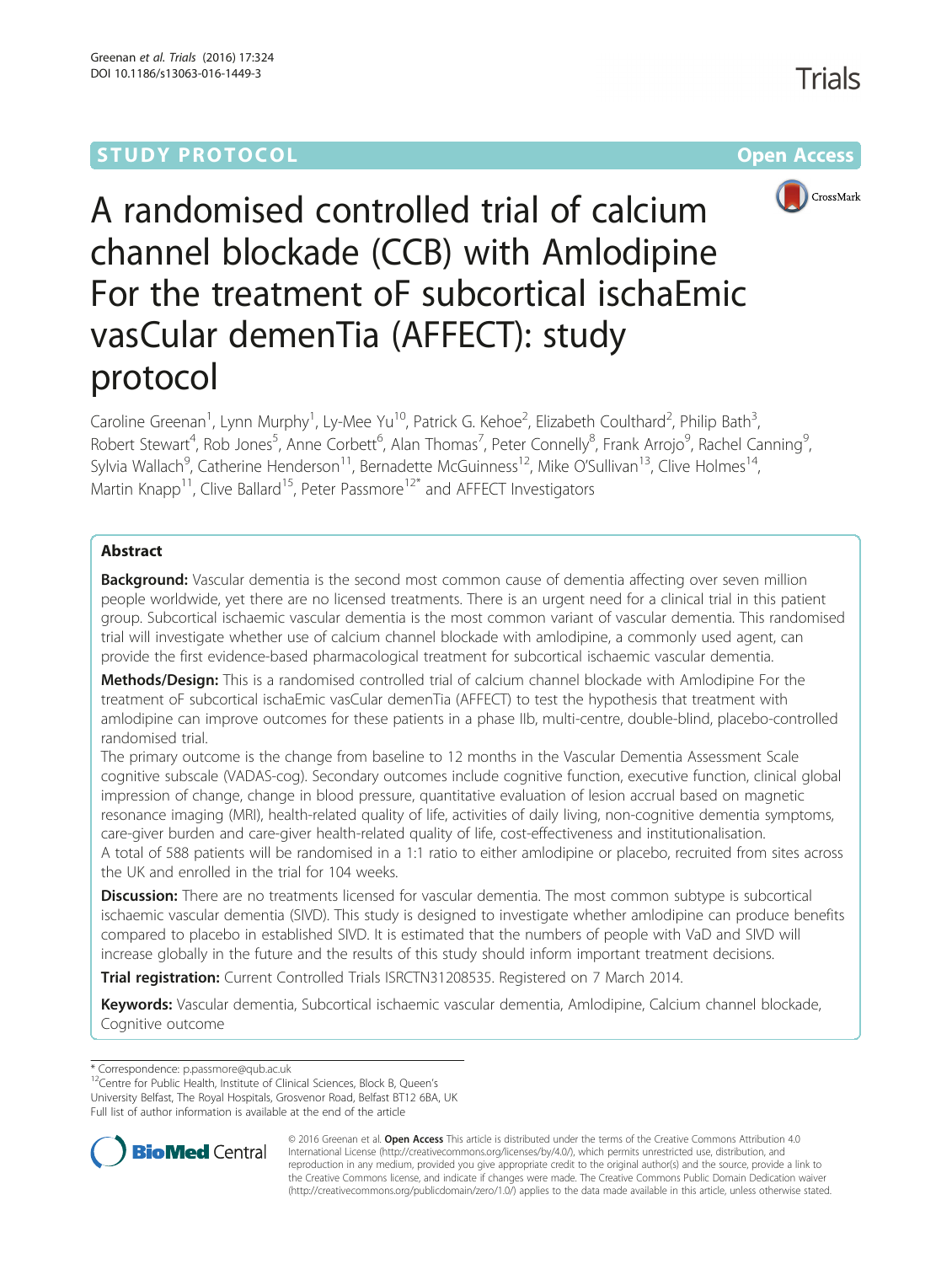# **STUDY PROTOCOL CONSUMING THE RESERVE ACCESS**



A randomised controlled trial of calcium channel blockade (CCB) with Amlodipine For the treatment oF subcortical ischaEmic vasCular demenTia (AFFECT): study protocol

Caroline Greenan<sup>1</sup>, Lynn Murphy<sup>1</sup>, Ly-Mee Yu<sup>10</sup>, Patrick G. Kehoe<sup>2</sup>, Elizabeth Coulthard<sup>2</sup>, Philip Bath<sup>3</sup> , Robert Stewart<sup>4</sup>, Rob Jones<sup>5</sup>, Anne Corbett<sup>6</sup>, Alan Thomas<sup>7</sup>, Peter Connelly<sup>8</sup>, Frank Arrojo<sup>9</sup>, Rachel Canning<sup>s</sup> , Sylvia Wallach<sup>9</sup>, Catherine Henderson<sup>11</sup>, Bernadette McGuinness<sup>12</sup>, Mike O'Sullivan<sup>13</sup>, Clive Holmes<sup>14</sup>, Martin Knapp<sup>11</sup>, Clive Ballard<sup>15</sup>, Peter Passmore<sup>12\*</sup> and AFFECT Investigators

# Abstract

Background: Vascular dementia is the second most common cause of dementia affecting over seven million people worldwide, yet there are no licensed treatments. There is an urgent need for a clinical trial in this patient group. Subcortical ischaemic vascular dementia is the most common variant of vascular dementia. This randomised trial will investigate whether use of calcium channel blockade with amlodipine, a commonly used agent, can provide the first evidence-based pharmacological treatment for subcortical ischaemic vascular dementia.

Methods/Design: This is a randomised controlled trial of calcium channel blockade with Amlodipine For the treatment oF subcortical ischaEmic vasCular demenTia (AFFECT) to test the hypothesis that treatment with amlodipine can improve outcomes for these patients in a phase IIb, multi-centre, double-blind, placebo-controlled randomised trial.

The primary outcome is the change from baseline to 12 months in the Vascular Dementia Assessment Scale cognitive subscale (VADAS-cog). Secondary outcomes include cognitive function, executive function, clinical global impression of change, change in blood pressure, quantitative evaluation of lesion accrual based on magnetic resonance imaging (MRI), health-related quality of life, activities of daily living, non-cognitive dementia symptoms, care-giver burden and care-giver health-related quality of life, cost-effectiveness and institutionalisation. A total of 588 patients will be randomised in a 1:1 ratio to either amlodipine or placebo, recruited from sites across the UK and enrolled in the trial for 104 weeks.

**Discussion:** There are no treatments licensed for vascular dementia. The most common subtype is subcortical ischaemic vascular dementia (SIVD). This study is designed to investigate whether amlodipine can produce benefits compared to placebo in established SIVD. It is estimated that the numbers of people with VaD and SIVD will increase globally in the future and the results of this study should inform important treatment decisions.

Trial registration: Current Controlled Trials [ISRCTN31208535.](http://www.isrctn.com/ISRCTN31208535) Registered on 7 March 2014.

Keywords: Vascular dementia, Subcortical ischaemic vascular dementia, Amlodipine, Calcium channel blockade, Cognitive outcome

\* Correspondence: [p.passmore@qub.ac.uk](mailto:p.passmore@qub.ac.uk) 12Centre for Public Health, Institute of Clinical Sciences, Block B, Queen'<sup>s</sup> University Belfast, The Royal Hospitals, Grosvenor Road, Belfast BT12 6BA, UK Full list of author information is available at the end of the article



© 2016 Greenan et al. Open Access This article is distributed under the terms of the Creative Commons Attribution 4.0 International License [\(http://creativecommons.org/licenses/by/4.0/](http://creativecommons.org/licenses/by/4.0/)), which permits unrestricted use, distribution, and reproduction in any medium, provided you give appropriate credit to the original author(s) and the source, provide a link to the Creative Commons license, and indicate if changes were made. The Creative Commons Public Domain Dedication waiver [\(http://creativecommons.org/publicdomain/zero/1.0/](http://creativecommons.org/publicdomain/zero/1.0/)) applies to the data made available in this article, unless otherwise stated.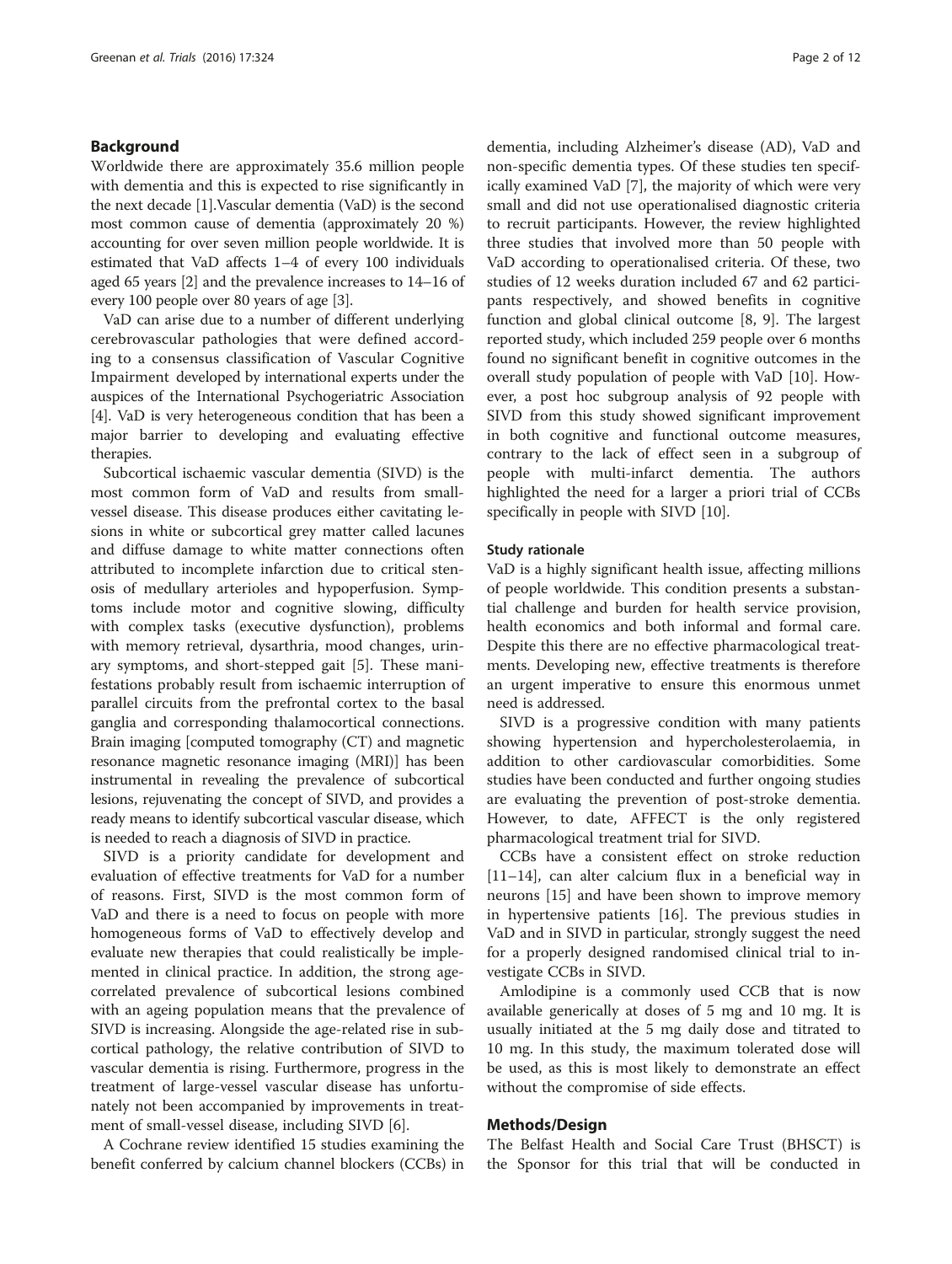### Background

Worldwide there are approximately 35.6 million people with dementia and this is expected to rise significantly in the next decade [[1](#page-10-0)].Vascular dementia (VaD) is the second most common cause of dementia (approximately 20 %) accounting for over seven million people worldwide. It is estimated that VaD affects 1–4 of every 100 individuals aged 65 years [\[2](#page-11-0)] and the prevalence increases to 14–16 of every 100 people over 80 years of age [\[3\]](#page-11-0).

VaD can arise due to a number of different underlying cerebrovascular pathologies that were defined according to a consensus classification of Vascular Cognitive Impairment developed by international experts under the auspices of the International Psychogeriatric Association [[4\]](#page-11-0). VaD is very heterogeneous condition that has been a major barrier to developing and evaluating effective therapies.

Subcortical ischaemic vascular dementia (SIVD) is the most common form of VaD and results from smallvessel disease. This disease produces either cavitating lesions in white or subcortical grey matter called lacunes and diffuse damage to white matter connections often attributed to incomplete infarction due to critical stenosis of medullary arterioles and hypoperfusion. Symptoms include motor and cognitive slowing, difficulty with complex tasks (executive dysfunction), problems with memory retrieval, dysarthria, mood changes, urinary symptoms, and short-stepped gait [\[5](#page-11-0)]. These manifestations probably result from ischaemic interruption of parallel circuits from the prefrontal cortex to the basal ganglia and corresponding thalamocortical connections. Brain imaging [computed tomography (CT) and magnetic resonance magnetic resonance imaging (MRI)] has been instrumental in revealing the prevalence of subcortical lesions, rejuvenating the concept of SIVD, and provides a ready means to identify subcortical vascular disease, which is needed to reach a diagnosis of SIVD in practice.

SIVD is a priority candidate for development and evaluation of effective treatments for VaD for a number of reasons. First, SIVD is the most common form of VaD and there is a need to focus on people with more homogeneous forms of VaD to effectively develop and evaluate new therapies that could realistically be implemented in clinical practice. In addition, the strong agecorrelated prevalence of subcortical lesions combined with an ageing population means that the prevalence of SIVD is increasing. Alongside the age-related rise in subcortical pathology, the relative contribution of SIVD to vascular dementia is rising. Furthermore, progress in the treatment of large-vessel vascular disease has unfortunately not been accompanied by improvements in treatment of small-vessel disease, including SIVD [\[6](#page-11-0)].

A Cochrane review identified 15 studies examining the benefit conferred by calcium channel blockers (CCBs) in dementia, including Alzheimer's disease (AD), VaD and non-specific dementia types. Of these studies ten specifically examined VaD [[7\]](#page-11-0), the majority of which were very small and did not use operationalised diagnostic criteria to recruit participants. However, the review highlighted three studies that involved more than 50 people with VaD according to operationalised criteria. Of these, two studies of 12 weeks duration included 67 and 62 participants respectively, and showed benefits in cognitive function and global clinical outcome [\[8](#page-11-0), [9](#page-11-0)]. The largest reported study, which included 259 people over 6 months found no significant benefit in cognitive outcomes in the overall study population of people with VaD [[10](#page-11-0)]. However, a post hoc subgroup analysis of 92 people with SIVD from this study showed significant improvement in both cognitive and functional outcome measures, contrary to the lack of effect seen in a subgroup of people with multi-infarct dementia. The authors highlighted the need for a larger a priori trial of CCBs specifically in people with SIVD [[10\]](#page-11-0).

### Study rationale

VaD is a highly significant health issue, affecting millions of people worldwide. This condition presents a substantial challenge and burden for health service provision, health economics and both informal and formal care. Despite this there are no effective pharmacological treatments. Developing new, effective treatments is therefore an urgent imperative to ensure this enormous unmet need is addressed.

SIVD is a progressive condition with many patients showing hypertension and hypercholesterolaemia, in addition to other cardiovascular comorbidities. Some studies have been conducted and further ongoing studies are evaluating the prevention of post-stroke dementia. However, to date, AFFECT is the only registered pharmacological treatment trial for SIVD.

CCBs have a consistent effect on stroke reduction [[11](#page-11-0)–[14](#page-11-0)], can alter calcium flux in a beneficial way in neurons [[15\]](#page-11-0) and have been shown to improve memory in hypertensive patients [\[16](#page-11-0)]. The previous studies in VaD and in SIVD in particular, strongly suggest the need for a properly designed randomised clinical trial to investigate CCBs in SIVD.

Amlodipine is a commonly used CCB that is now available generically at doses of 5 mg and 10 mg. It is usually initiated at the 5 mg daily dose and titrated to 10 mg. In this study, the maximum tolerated dose will be used, as this is most likely to demonstrate an effect without the compromise of side effects.

### Methods/Design

The Belfast Health and Social Care Trust (BHSCT) is the Sponsor for this trial that will be conducted in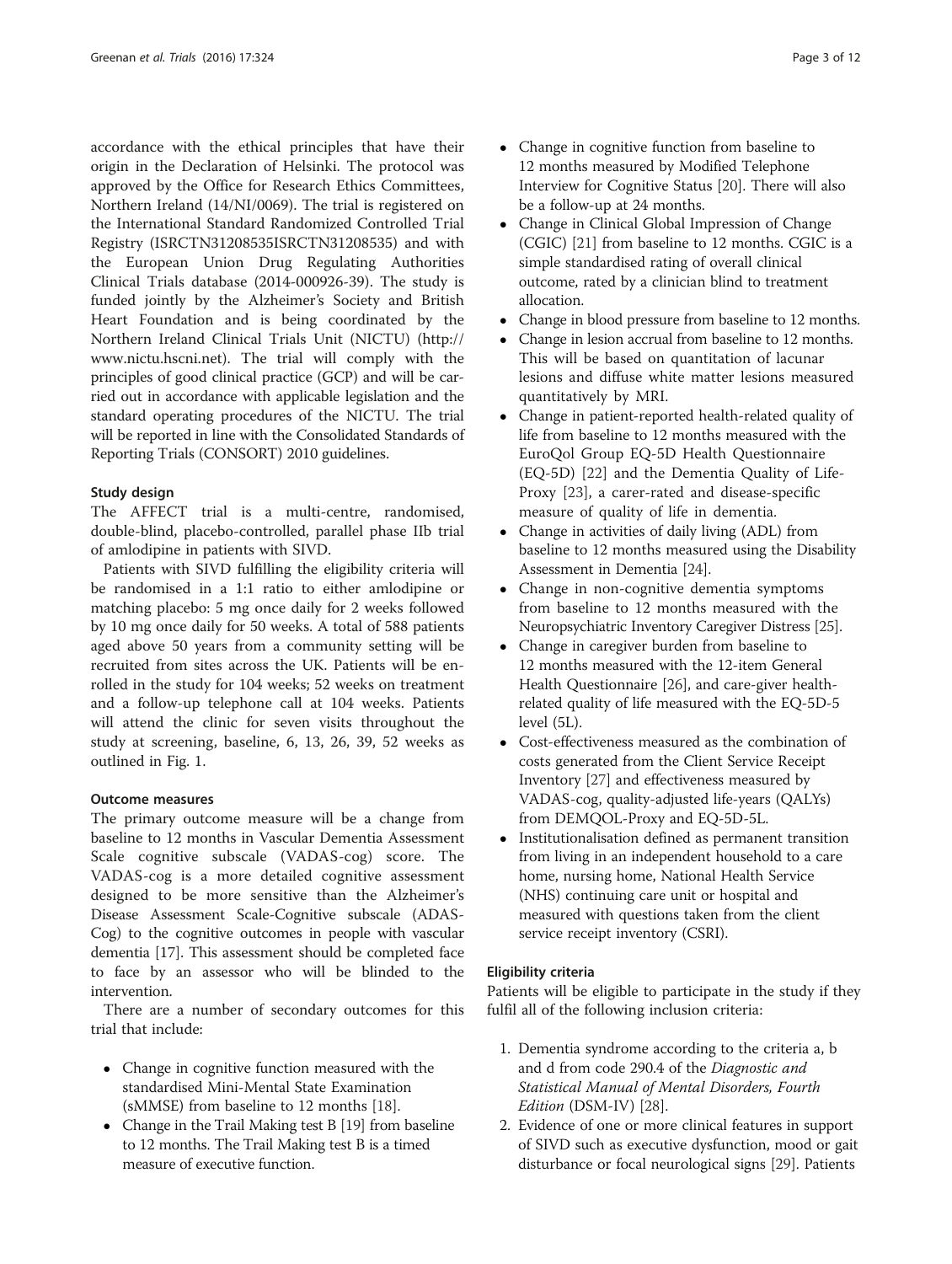accordance with the ethical principles that have their origin in the Declaration of Helsinki. The protocol was approved by the Office for Research Ethics Committees, Northern Ireland (14/NI/0069). The trial is registered on the International Standard Randomized Controlled Trial Registry (ISRCTN31208535ISRCTN31208535) and with the European Union Drug Regulating Authorities Clinical Trials database (2014-000926-39). The study is funded jointly by the Alzheimer's Society and British Heart Foundation and is being coordinated by the Northern Ireland Clinical Trials Unit (NICTU) [\(http://](http://www.nictu.hscni.net) [www.nictu.hscni.net\)](http://www.nictu.hscni.net). The trial will comply with the principles of good clinical practice (GCP) and will be carried out in accordance with applicable legislation and the standard operating procedures of the NICTU. The trial will be reported in line with the Consolidated Standards of Reporting Trials (CONSORT) 2010 guidelines.

### Study design

The AFFECT trial is a multi-centre, randomised, double-blind, placebo-controlled, parallel phase IIb trial of amlodipine in patients with SIVD.

Patients with SIVD fulfilling the eligibility criteria will be randomised in a 1:1 ratio to either amlodipine or matching placebo: 5 mg once daily for 2 weeks followed by 10 mg once daily for 50 weeks. A total of 588 patients aged above 50 years from a community setting will be recruited from sites across the UK. Patients will be enrolled in the study for 104 weeks; 52 weeks on treatment and a follow-up telephone call at 104 weeks. Patients will attend the clinic for seven visits throughout the study at screening, baseline, 6, 13, 26, 39, 52 weeks as outlined in Fig. [1.](#page-3-0)

### Outcome measures

The primary outcome measure will be a change from baseline to 12 months in Vascular Dementia Assessment Scale cognitive subscale (VADAS-cog) score. The VADAS-cog is a more detailed cognitive assessment designed to be more sensitive than the Alzheimer's Disease Assessment Scale-Cognitive subscale (ADAS-Cog) to the cognitive outcomes in people with vascular dementia [\[17\]](#page-11-0). This assessment should be completed face to face by an assessor who will be blinded to the intervention.

There are a number of secondary outcomes for this trial that include:

- Change in cognitive function measured with the standardised Mini-Mental State Examination (sMMSE) from baseline to 12 months [[18](#page-11-0)].
- Change in the Trail Making test B [\[19\]](#page-11-0) from baseline to 12 months. The Trail Making test B is a timed measure of executive function.
- Change in cognitive function from baseline to 12 months measured by Modified Telephone Interview for Cognitive Status [[20\]](#page-11-0). There will also be a follow-up at 24 months.
- Change in Clinical Global Impression of Change (CGIC) [\[21\]](#page-11-0) from baseline to 12 months. CGIC is a simple standardised rating of overall clinical outcome, rated by a clinician blind to treatment allocation.
- Change in blood pressure from baseline to 12 months.
- Change in lesion accrual from baseline to 12 months. This will be based on quantitation of lacunar lesions and diffuse white matter lesions measured quantitatively by MRI.
- Change in patient-reported health-related quality of life from baseline to 12 months measured with the EuroQol Group EQ-5D Health Questionnaire (EQ-5D) [\[22](#page-11-0)] and the Dementia Quality of Life-Proxy [\[23](#page-11-0)], a carer-rated and disease-specific measure of quality of life in dementia.
- Change in activities of daily living (ADL) from baseline to 12 months measured using the Disability Assessment in Dementia [\[24\]](#page-11-0).
- Change in non-cognitive dementia symptoms from baseline to 12 months measured with the Neuropsychiatric Inventory Caregiver Distress [[25](#page-11-0)].
- Change in caregiver burden from baseline to 12 months measured with the 12-item General Health Questionnaire [[26](#page-11-0)], and care-giver healthrelated quality of life measured with the EQ-5D-5 level (5L).
- Cost-effectiveness measured as the combination of costs generated from the Client Service Receipt Inventory [[27](#page-11-0)] and effectiveness measured by VADAS-cog, quality-adjusted life-years (QALYs) from DEMQOL-Proxy and EQ-5D-5L.
- Institutionalisation defined as permanent transition from living in an independent household to a care home, nursing home, National Health Service (NHS) continuing care unit or hospital and measured with questions taken from the client service receipt inventory (CSRI).

### Eligibility criteria

Patients will be eligible to participate in the study if they fulfil all of the following inclusion criteria:

- 1. Dementia syndrome according to the criteria a, b and d from code 290.4 of the Diagnostic and Statistical Manual of Mental Disorders, Fourth Edition (DSM-IV) [\[28](#page-11-0)].
- 2. Evidence of one or more clinical features in support of SIVD such as executive dysfunction, mood or gait disturbance or focal neurological signs [\[29\]](#page-11-0). Patients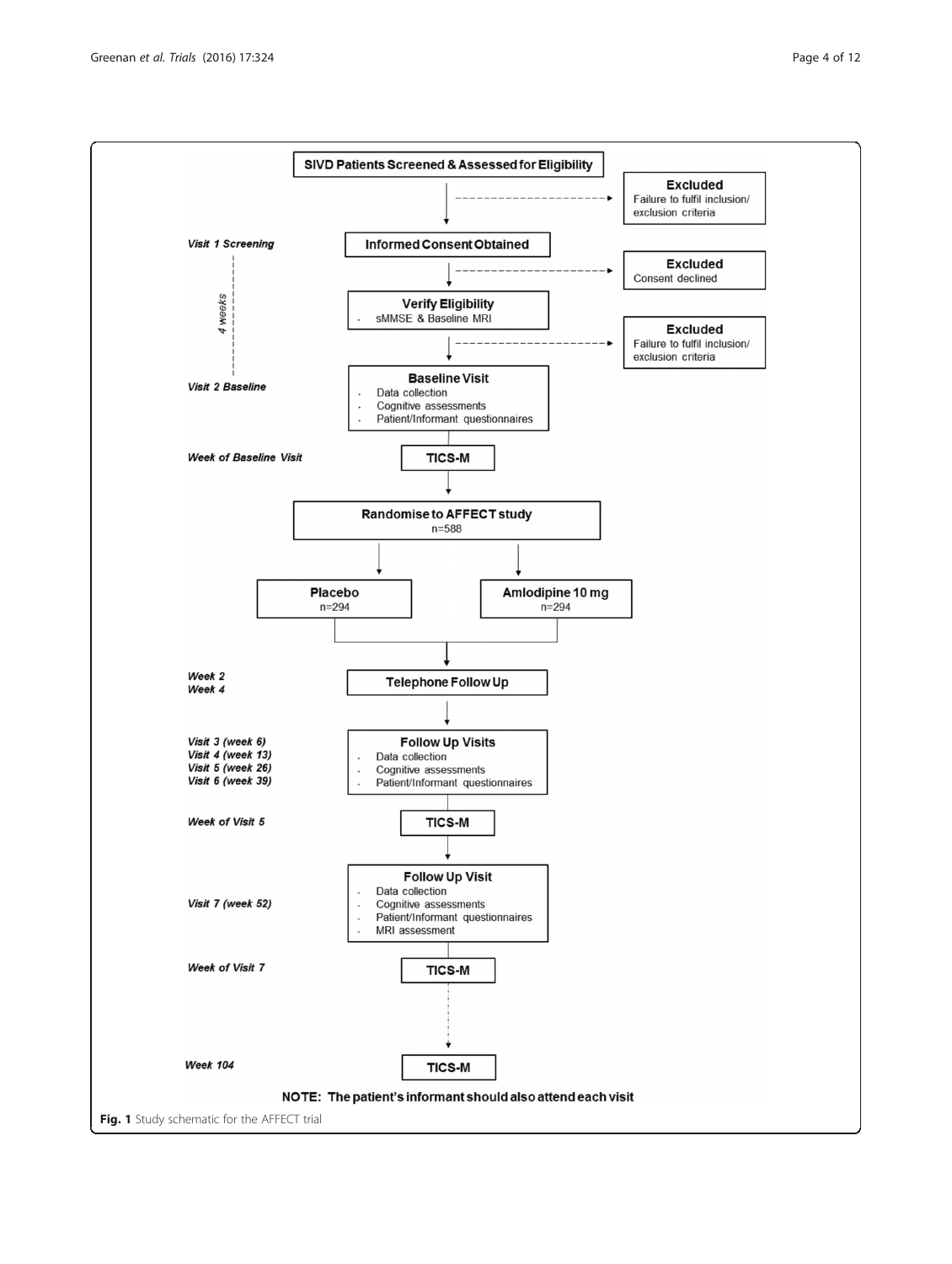<span id="page-3-0"></span>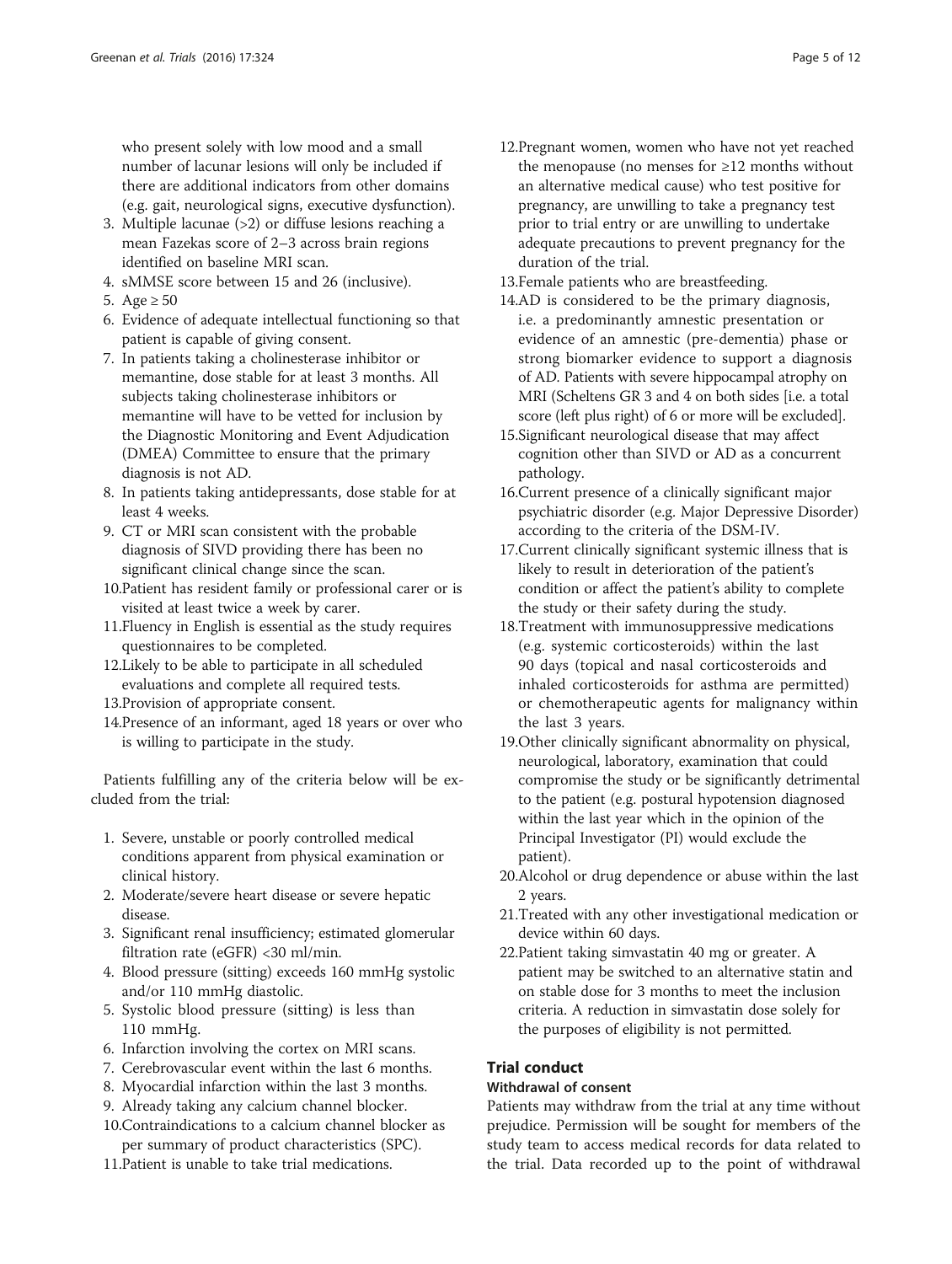who present solely with low mood and a small number of lacunar lesions will only be included if there are additional indicators from other domains (e.g. gait, neurological signs, executive dysfunction).

- 3. Multiple lacunae (>2) or diffuse lesions reaching a mean Fazekas score of 2–3 across brain regions identified on baseline MRI scan.
- 4. sMMSE score between 15 and 26 (inclusive).
- 5. Age  $\geq 50$
- 6. Evidence of adequate intellectual functioning so that patient is capable of giving consent.
- 7. In patients taking a cholinesterase inhibitor or memantine, dose stable for at least 3 months. All subjects taking cholinesterase inhibitors or memantine will have to be vetted for inclusion by the Diagnostic Monitoring and Event Adjudication (DMEA) Committee to ensure that the primary diagnosis is not AD.
- 8. In patients taking antidepressants, dose stable for at least 4 weeks.
- 9. CT or MRI scan consistent with the probable diagnosis of SIVD providing there has been no significant clinical change since the scan.
- 10.Patient has resident family or professional carer or is visited at least twice a week by carer.
- 11.Fluency in English is essential as the study requires questionnaires to be completed.
- 12.Likely to be able to participate in all scheduled evaluations and complete all required tests.
- 13.Provision of appropriate consent.
- 14.Presence of an informant, aged 18 years or over who is willing to participate in the study.

Patients fulfilling any of the criteria below will be excluded from the trial:

- 1. Severe, unstable or poorly controlled medical conditions apparent from physical examination or clinical history.
- 2. Moderate/severe heart disease or severe hepatic disease.
- 3. Significant renal insufficiency; estimated glomerular filtration rate (eGFR) <30 ml/min.
- 4. Blood pressure (sitting) exceeds 160 mmHg systolic and/or 110 mmHg diastolic.
- 5. Systolic blood pressure (sitting) is less than 110 mmHg.
- 6. Infarction involving the cortex on MRI scans.
- 7. Cerebrovascular event within the last 6 months.
- 8. Myocardial infarction within the last 3 months.
- 9. Already taking any calcium channel blocker.
- 10.Contraindications to a calcium channel blocker as per summary of product characteristics (SPC).
- 11.Patient is unable to take trial medications.
- 12.Pregnant women, women who have not yet reached the menopause (no menses for ≥12 months without an alternative medical cause) who test positive for pregnancy, are unwilling to take a pregnancy test prior to trial entry or are unwilling to undertake adequate precautions to prevent pregnancy for the duration of the trial.
- 13.Female patients who are breastfeeding.
- 14.AD is considered to be the primary diagnosis, i.e. a predominantly amnestic presentation or evidence of an amnestic (pre-dementia) phase or strong biomarker evidence to support a diagnosis of AD. Patients with severe hippocampal atrophy on MRI (Scheltens GR 3 and 4 on both sides [i.e. a total score (left plus right) of 6 or more will be excluded].
- 15.Significant neurological disease that may affect cognition other than SIVD or AD as a concurrent pathology.
- 16.Current presence of a clinically significant major psychiatric disorder (e.g. Major Depressive Disorder) according to the criteria of the DSM-IV.
- 17.Current clinically significant systemic illness that is likely to result in deterioration of the patient's condition or affect the patient's ability to complete the study or their safety during the study.
- 18.Treatment with immunosuppressive medications (e.g. systemic corticosteroids) within the last 90 days (topical and nasal corticosteroids and inhaled corticosteroids for asthma are permitted) or chemotherapeutic agents for malignancy within the last 3 years.
- 19.Other clinically significant abnormality on physical, neurological, laboratory, examination that could compromise the study or be significantly detrimental to the patient (e.g. postural hypotension diagnosed within the last year which in the opinion of the Principal Investigator (PI) would exclude the patient).
- 20.Alcohol or drug dependence or abuse within the last 2 years.
- 21.Treated with any other investigational medication or device within 60 days.
- 22.Patient taking simvastatin 40 mg or greater. A patient may be switched to an alternative statin and on stable dose for 3 months to meet the inclusion criteria. A reduction in simvastatin dose solely for the purposes of eligibility is not permitted.

## Trial conduct

### Withdrawal of consent

Patients may withdraw from the trial at any time without prejudice. Permission will be sought for members of the study team to access medical records for data related to the trial. Data recorded up to the point of withdrawal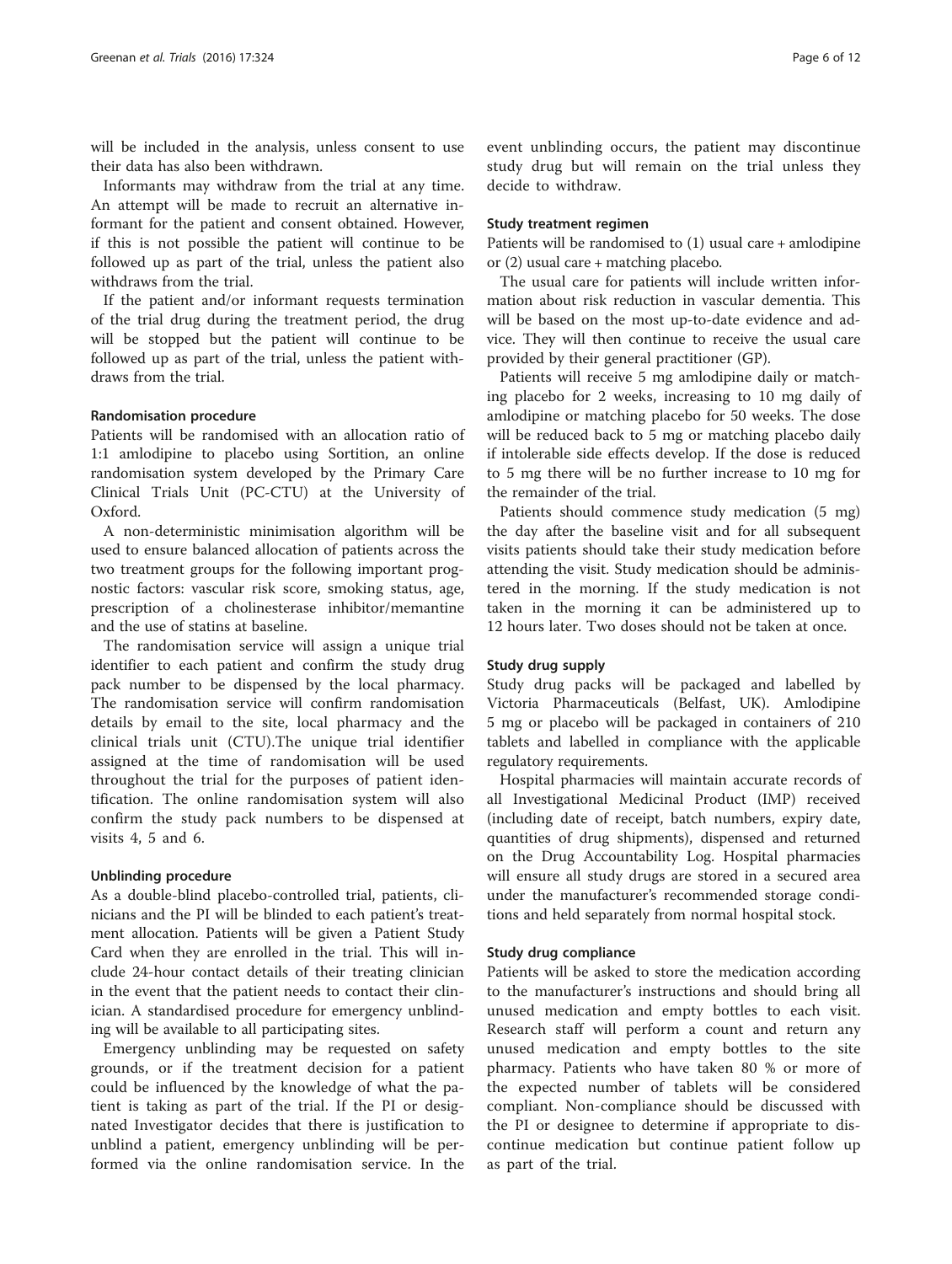will be included in the analysis, unless consent to use their data has also been withdrawn.

Informants may withdraw from the trial at any time. An attempt will be made to recruit an alternative informant for the patient and consent obtained. However, if this is not possible the patient will continue to be followed up as part of the trial, unless the patient also withdraws from the trial.

If the patient and/or informant requests termination of the trial drug during the treatment period, the drug will be stopped but the patient will continue to be followed up as part of the trial, unless the patient withdraws from the trial.

#### Randomisation procedure

Patients will be randomised with an allocation ratio of 1:1 amlodipine to placebo using Sortition, an online randomisation system developed by the Primary Care Clinical Trials Unit (PC-CTU) at the University of Oxford.

A non-deterministic minimisation algorithm will be used to ensure balanced allocation of patients across the two treatment groups for the following important prognostic factors: vascular risk score, smoking status, age, prescription of a cholinesterase inhibitor/memantine and the use of statins at baseline.

The randomisation service will assign a unique trial identifier to each patient and confirm the study drug pack number to be dispensed by the local pharmacy. The randomisation service will confirm randomisation details by email to the site, local pharmacy and the clinical trials unit (CTU).The unique trial identifier assigned at the time of randomisation will be used throughout the trial for the purposes of patient identification. The online randomisation system will also confirm the study pack numbers to be dispensed at visits 4, 5 and 6.

#### Unblinding procedure

As a double-blind placebo-controlled trial, patients, clinicians and the PI will be blinded to each patient's treatment allocation. Patients will be given a Patient Study Card when they are enrolled in the trial. This will include 24-hour contact details of their treating clinician in the event that the patient needs to contact their clinician. A standardised procedure for emergency unblinding will be available to all participating sites.

Emergency unblinding may be requested on safety grounds, or if the treatment decision for a patient could be influenced by the knowledge of what the patient is taking as part of the trial. If the PI or designated Investigator decides that there is justification to unblind a patient, emergency unblinding will be performed via the online randomisation service. In the

event unblinding occurs, the patient may discontinue study drug but will remain on the trial unless they decide to withdraw.

### Study treatment regimen

Patients will be randomised to (1) usual care + amlodipine or (2) usual care + matching placebo.

The usual care for patients will include written information about risk reduction in vascular dementia. This will be based on the most up-to-date evidence and advice. They will then continue to receive the usual care provided by their general practitioner (GP).

Patients will receive 5 mg amlodipine daily or matching placebo for 2 weeks, increasing to 10 mg daily of amlodipine or matching placebo for 50 weeks. The dose will be reduced back to 5 mg or matching placebo daily if intolerable side effects develop. If the dose is reduced to 5 mg there will be no further increase to 10 mg for the remainder of the trial.

Patients should commence study medication (5 mg) the day after the baseline visit and for all subsequent visits patients should take their study medication before attending the visit. Study medication should be administered in the morning. If the study medication is not taken in the morning it can be administered up to 12 hours later. Two doses should not be taken at once.

#### Study drug supply

Study drug packs will be packaged and labelled by Victoria Pharmaceuticals (Belfast, UK). Amlodipine 5 mg or placebo will be packaged in containers of 210 tablets and labelled in compliance with the applicable regulatory requirements.

Hospital pharmacies will maintain accurate records of all Investigational Medicinal Product (IMP) received (including date of receipt, batch numbers, expiry date, quantities of drug shipments), dispensed and returned on the Drug Accountability Log. Hospital pharmacies will ensure all study drugs are stored in a secured area under the manufacturer's recommended storage conditions and held separately from normal hospital stock.

#### Study drug compliance

Patients will be asked to store the medication according to the manufacturer's instructions and should bring all unused medication and empty bottles to each visit. Research staff will perform a count and return any unused medication and empty bottles to the site pharmacy. Patients who have taken 80 % or more of the expected number of tablets will be considered compliant. Non-compliance should be discussed with the PI or designee to determine if appropriate to discontinue medication but continue patient follow up as part of the trial.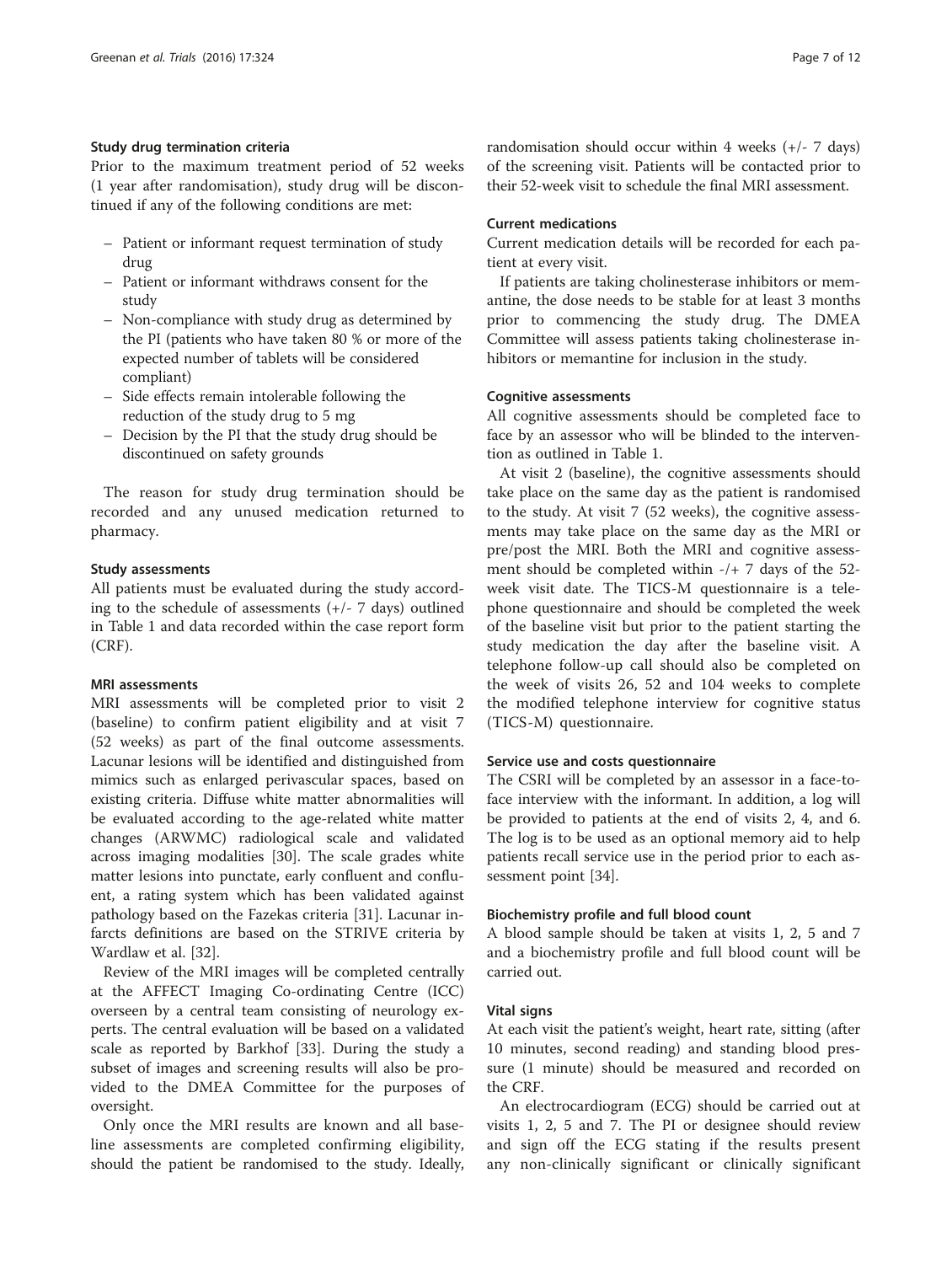### Study drug termination criteria

Prior to the maximum treatment period of 52 weeks (1 year after randomisation), study drug will be discontinued if any of the following conditions are met:

- Patient or informant request termination of study drug
- Patient or informant withdraws consent for the study
- Non-compliance with study drug as determined by the PI (patients who have taken 80 % or more of the expected number of tablets will be considered compliant)
- Side effects remain intolerable following the reduction of the study drug to 5 mg
- Decision by the PI that the study drug should be discontinued on safety grounds

The reason for study drug termination should be recorded and any unused medication returned to pharmacy.

### Study assessments

All patients must be evaluated during the study according to the schedule of assessments  $(+/- 7$  days) outlined in Table [1](#page-7-0) and data recorded within the case report form (CRF).

### MRI assessments

MRI assessments will be completed prior to visit 2 (baseline) to confirm patient eligibility and at visit 7 (52 weeks) as part of the final outcome assessments. Lacunar lesions will be identified and distinguished from mimics such as enlarged perivascular spaces, based on existing criteria. Diffuse white matter abnormalities will be evaluated according to the age-related white matter changes (ARWMC) radiological scale and validated across imaging modalities [\[30\]](#page-11-0). The scale grades white matter lesions into punctate, early confluent and confluent, a rating system which has been validated against pathology based on the Fazekas criteria [\[31](#page-11-0)]. Lacunar infarcts definitions are based on the STRIVE criteria by Wardlaw et al. [\[32](#page-11-0)].

Review of the MRI images will be completed centrally at the AFFECT Imaging Co-ordinating Centre (ICC) overseen by a central team consisting of neurology experts. The central evaluation will be based on a validated scale as reported by Barkhof [\[33](#page-11-0)]. During the study a subset of images and screening results will also be provided to the DMEA Committee for the purposes of oversight.

Only once the MRI results are known and all baseline assessments are completed confirming eligibility, should the patient be randomised to the study. Ideally,

randomisation should occur within 4 weeks (+/- 7 days) of the screening visit. Patients will be contacted prior to their 52-week visit to schedule the final MRI assessment.

### Current medications

Current medication details will be recorded for each patient at every visit.

If patients are taking cholinesterase inhibitors or memantine, the dose needs to be stable for at least 3 months prior to commencing the study drug. The DMEA Committee will assess patients taking cholinesterase inhibitors or memantine for inclusion in the study.

### Cognitive assessments

All cognitive assessments should be completed face to face by an assessor who will be blinded to the intervention as outlined in Table [1.](#page-7-0)

At visit 2 (baseline), the cognitive assessments should take place on the same day as the patient is randomised to the study. At visit 7 (52 weeks), the cognitive assessments may take place on the same day as the MRI or pre/post the MRI. Both the MRI and cognitive assessment should be completed within -/+ 7 days of the 52 week visit date. The TICS-M questionnaire is a telephone questionnaire and should be completed the week of the baseline visit but prior to the patient starting the study medication the day after the baseline visit. A telephone follow-up call should also be completed on the week of visits 26, 52 and 104 weeks to complete the modified telephone interview for cognitive status (TICS-M) questionnaire.

### Service use and costs questionnaire

The CSRI will be completed by an assessor in a face-toface interview with the informant. In addition, a log will be provided to patients at the end of visits 2, 4, and 6. The log is to be used as an optional memory aid to help patients recall service use in the period prior to each assessment point [\[34\]](#page-11-0).

### Biochemistry profile and full blood count

A blood sample should be taken at visits 1, 2, 5 and 7 and a biochemistry profile and full blood count will be carried out.

### Vital signs

At each visit the patient's weight, heart rate, sitting (after 10 minutes, second reading) and standing blood pressure (1 minute) should be measured and recorded on the CRF.

An electrocardiogram (ECG) should be carried out at visits 1, 2, 5 and 7. The PI or designee should review and sign off the ECG stating if the results present any non-clinically significant or clinically significant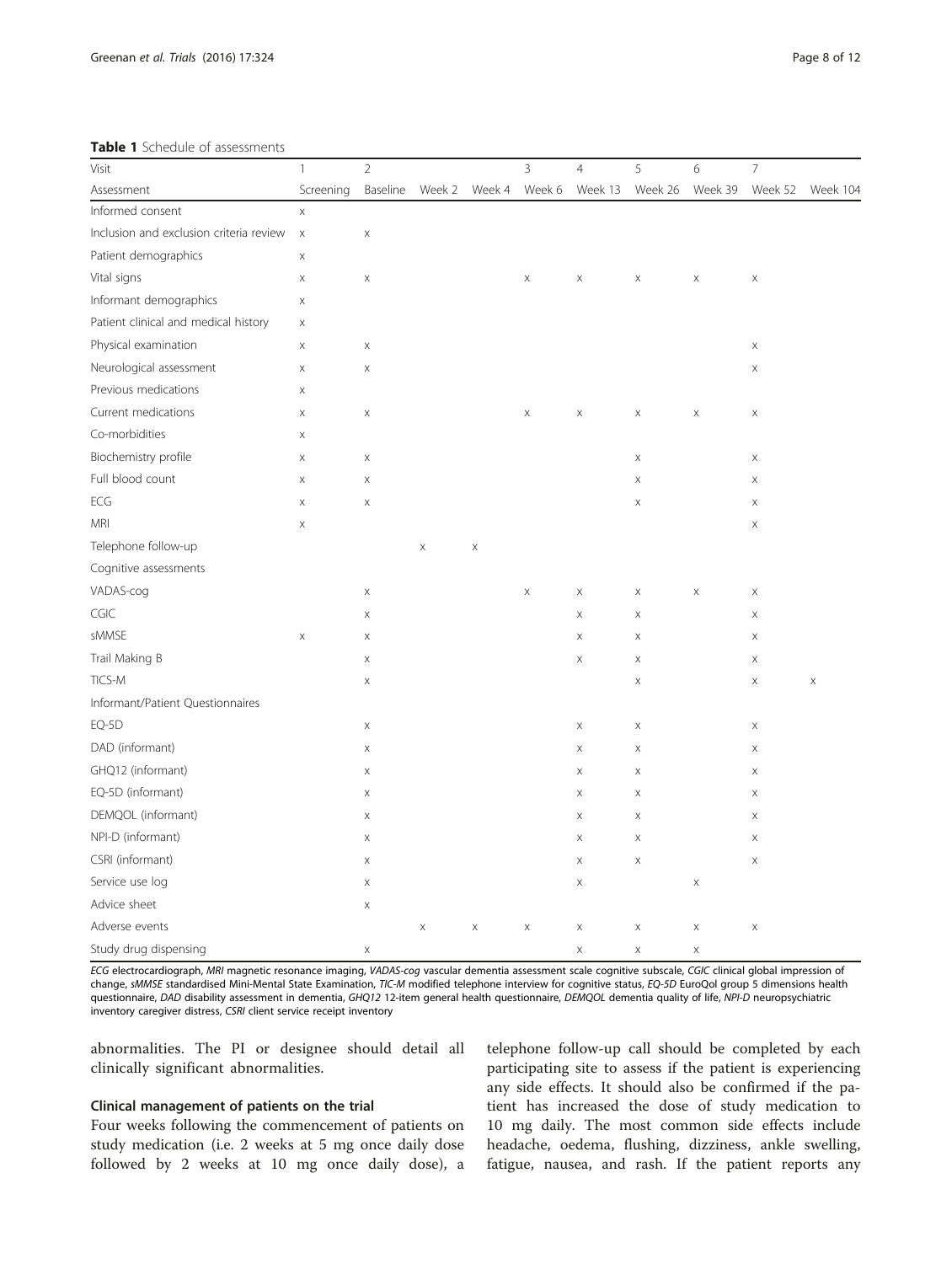<span id="page-7-0"></span>

| Visit                                   | 1                         | $\overline{2}$ |                           |             | 3                     | $\overline{4}$            | 5                         | 6           | $\overline{7}$        |                       |
|-----------------------------------------|---------------------------|----------------|---------------------------|-------------|-----------------------|---------------------------|---------------------------|-------------|-----------------------|-----------------------|
| Assessment                              | Screening                 | Baseline       | Week 2                    | Week 4      | Week 6                | Week 13                   | Week 26                   | Week 39     | Week 52               | Week 104              |
| Informed consent                        | $\mathsf X$               |                |                           |             |                       |                           |                           |             |                       |                       |
| Inclusion and exclusion criteria review | $\mathsf X$               | X              |                           |             |                       |                           |                           |             |                       |                       |
| Patient demographics                    | X                         |                |                           |             |                       |                           |                           |             |                       |                       |
| Vital signs                             | X                         | $\mathsf X$    |                           |             | $\boldsymbol{\times}$ | $\mathsf X$               | $\mathsf X$               | $\mathsf X$ | $\mathsf X$           |                       |
| Informant demographics                  | X                         |                |                           |             |                       |                           |                           |             |                       |                       |
| Patient clinical and medical history    | X                         |                |                           |             |                       |                           |                           |             |                       |                       |
| Physical examination                    | $\boldsymbol{\mathsf{X}}$ | X              |                           |             |                       |                           |                           |             | X                     |                       |
| Neurological assessment                 | $\boldsymbol{\mathsf{X}}$ | X              |                           |             |                       |                           |                           |             | $\mathsf X$           |                       |
| Previous medications                    | X                         |                |                           |             |                       |                           |                           |             |                       |                       |
| Current medications                     | X                         | X              |                           |             | $\boldsymbol{\times}$ | $\mathsf X$               | $\mathsf X$               | $\mathsf X$ | $\times$              |                       |
| Co-morbidities                          | X                         |                |                           |             |                       |                           |                           |             |                       |                       |
| Biochemistry profile                    | X                         | X              |                           |             |                       |                           | X                         |             | $\mathsf X$           |                       |
| Full blood count                        | X                         | X              |                           |             |                       |                           | $\mathsf X$               |             | $\boldsymbol{\times}$ |                       |
| ECG                                     | $\boldsymbol{\times}$     | Χ              |                           |             |                       |                           | X                         |             | X                     |                       |
| <b>MRI</b>                              | $\mathsf X$               |                |                           |             |                       |                           |                           |             | X                     |                       |
| Telephone follow-up                     |                           |                | $\boldsymbol{\mathsf{X}}$ | $\mathsf X$ |                       |                           |                           |             |                       |                       |
| Cognitive assessments                   |                           |                |                           |             |                       |                           |                           |             |                       |                       |
| VADAS-cog                               |                           | $\mathsf X$    |                           |             | $\boldsymbol{\times}$ | $\mathsf X$               | $\mathsf X$               | $\mathsf X$ | $\mathsf X$           |                       |
| CGIC                                    |                           | X              |                           |             |                       | $\boldsymbol{\times}$     | $\boldsymbol{\mathsf{X}}$ |             | X                     |                       |
| sMMSE                                   | $\mathsf X$               | X              |                           |             |                       | $\times$                  | $\boldsymbol{\times}$     |             | X                     |                       |
| Trail Making B                          |                           | X              |                           |             |                       | $\mathsf X$               | X                         |             | X                     |                       |
| TICS-M                                  |                           | X              |                           |             |                       |                           | X                         |             | $\mathsf X$           | $\boldsymbol{\times}$ |
| Informant/Patient Questionnaires        |                           |                |                           |             |                       |                           |                           |             |                       |                       |
| EQ-5D                                   |                           | X              |                           |             |                       | $\mathsf X$               | $\mathsf X$               |             | $\mathsf X$           |                       |
| DAD (informant)                         |                           | X              |                           |             |                       | $\boldsymbol{\mathsf{X}}$ | $\mathsf X$               |             | X                     |                       |
| GHQ12 (informant)                       |                           | X              |                           |             |                       | $\boldsymbol{\times}$     | $\mathsf X$               |             | X                     |                       |
| EQ-5D (informant)                       |                           | X              |                           |             |                       | $\boldsymbol{\times}$     | $\times$                  |             | X                     |                       |
| DEMQOL (informant)                      |                           | X              |                           |             |                       | $\mathsf X$               | $\mathsf X$               |             | X                     |                       |
| NPI-D (informant)                       |                           | X              |                           |             |                       | $\mathsf X$               | X                         |             | X                     |                       |
| CSRI (informant)                        |                           | X              |                           |             |                       | $\boldsymbol{\times}$     | $\boldsymbol{\mathsf{X}}$ |             | $\boldsymbol{\times}$ |                       |
| Service use log                         |                           | X              |                           |             |                       | $\mathsf X$               |                           | $\mathsf X$ |                       |                       |
| Advice sheet                            |                           | X              |                           |             |                       |                           |                           |             |                       |                       |
| Adverse events                          |                           |                | $\boldsymbol{\mathsf{X}}$ | X           | $\mathsf X$           | $\boldsymbol{\times}$     | X                         | X           | $\times$              |                       |
| Study drug dispensing                   |                           | X              |                           |             |                       | $\mathsf X$               | $\mathsf X$               | X           |                       |                       |

ECG electrocardiograph, MRI magnetic resonance imaging, VADAS-cog vascular dementia assessment scale cognitive subscale, CGIC clinical global impression of change, sMMSE standardised Mini-Mental State Examination, TIC-M modified telephone interview for cognitive status, EQ-5D EuroQol group 5 dimensions health questionnaire, DAD disability assessment in dementia, GHQ12 12-item general health questionnaire, DEMQOL dementia quality of life, NPI-D neuropsychiatric inventory caregiver distress, CSRI client service receipt inventory

abnormalities. The PI or designee should detail all clinically significant abnormalities.

### Clinical management of patients on the trial

Four weeks following the commencement of patients on study medication (i.e. 2 weeks at 5 mg once daily dose followed by 2 weeks at 10 mg once daily dose), a

telephone follow-up call should be completed by each participating site to assess if the patient is experiencing any side effects. It should also be confirmed if the patient has increased the dose of study medication to 10 mg daily. The most common side effects include headache, oedema, flushing, dizziness, ankle swelling, fatigue, nausea, and rash. If the patient reports any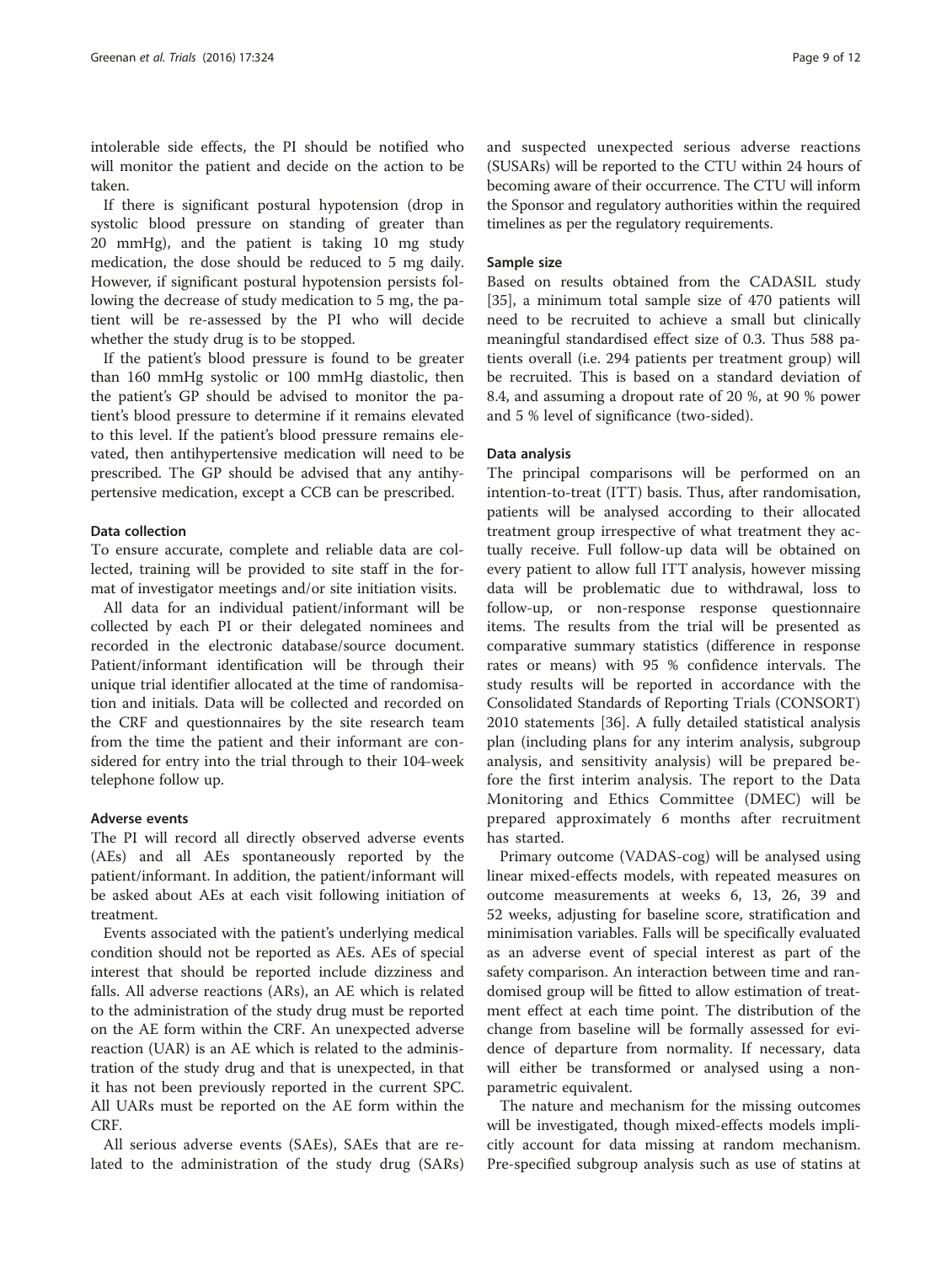intolerable side effects, the PI should be notified who will monitor the patient and decide on the action to be taken.

If there is significant postural hypotension (drop in systolic blood pressure on standing of greater than 20 mmHg), and the patient is taking 10 mg study medication, the dose should be reduced to 5 mg daily. However, if significant postural hypotension persists following the decrease of study medication to 5 mg, the patient will be re-assessed by the PI who will decide whether the study drug is to be stopped.

If the patient's blood pressure is found to be greater than 160 mmHg systolic or 100 mmHg diastolic, then the patient's GP should be advised to monitor the patient's blood pressure to determine if it remains elevated to this level. If the patient's blood pressure remains elevated, then antihypertensive medication will need to be prescribed. The GP should be advised that any antihypertensive medication, except a CCB can be prescribed.

### Data collection

To ensure accurate, complete and reliable data are collected, training will be provided to site staff in the format of investigator meetings and/or site initiation visits.

All data for an individual patient/informant will be collected by each PI or their delegated nominees and recorded in the electronic database/source document. Patient/informant identification will be through their unique trial identifier allocated at the time of randomisation and initials. Data will be collected and recorded on the CRF and questionnaires by the site research team from the time the patient and their informant are considered for entry into the trial through to their 104-week telephone follow up.

### Adverse events

The PI will record all directly observed adverse events (AEs) and all AEs spontaneously reported by the patient/informant. In addition, the patient/informant will be asked about AEs at each visit following initiation of treatment.

Events associated with the patient's underlying medical condition should not be reported as AEs. AEs of special interest that should be reported include dizziness and falls. All adverse reactions (ARs), an AE which is related to the administration of the study drug must be reported on the AE form within the CRF. An unexpected adverse reaction (UAR) is an AE which is related to the administration of the study drug and that is unexpected, in that it has not been previously reported in the current SPC. All UARs must be reported on the AE form within the CRF.

All serious adverse events (SAEs), SAEs that are related to the administration of the study drug (SARs) and suspected unexpected serious adverse reactions (SUSARs) will be reported to the CTU within 24 hours of becoming aware of their occurrence. The CTU will inform the Sponsor and regulatory authorities within the required timelines as per the regulatory requirements.

#### Sample size

Based on results obtained from the CADASIL study [[35\]](#page-11-0), a minimum total sample size of 470 patients will need to be recruited to achieve a small but clinically meaningful standardised effect size of 0.3. Thus 588 patients overall (i.e. 294 patients per treatment group) will be recruited. This is based on a standard deviation of 8.4, and assuming a dropout rate of 20 %, at 90 % power and 5 % level of significance (two-sided).

#### Data analysis

The principal comparisons will be performed on an intention-to-treat (ITT) basis. Thus, after randomisation, patients will be analysed according to their allocated treatment group irrespective of what treatment they actually receive. Full follow-up data will be obtained on every patient to allow full ITT analysis, however missing data will be problematic due to withdrawal, loss to follow-up, or non-response response questionnaire items. The results from the trial will be presented as comparative summary statistics (difference in response rates or means) with 95 % confidence intervals. The study results will be reported in accordance with the Consolidated Standards of Reporting Trials (CONSORT) 2010 statements [[36\]](#page-11-0). A fully detailed statistical analysis plan (including plans for any interim analysis, subgroup analysis, and sensitivity analysis) will be prepared before the first interim analysis. The report to the Data Monitoring and Ethics Committee (DMEC) will be prepared approximately 6 months after recruitment has started.

Primary outcome (VADAS-cog) will be analysed using linear mixed-effects models, with repeated measures on outcome measurements at weeks 6, 13, 26, 39 and 52 weeks, adjusting for baseline score, stratification and minimisation variables. Falls will be specifically evaluated as an adverse event of special interest as part of the safety comparison. An interaction between time and randomised group will be fitted to allow estimation of treatment effect at each time point. The distribution of the change from baseline will be formally assessed for evidence of departure from normality. If necessary, data will either be transformed or analysed using a nonparametric equivalent.

The nature and mechanism for the missing outcomes will be investigated, though mixed-effects models implicitly account for data missing at random mechanism. Pre-specified subgroup analysis such as use of statins at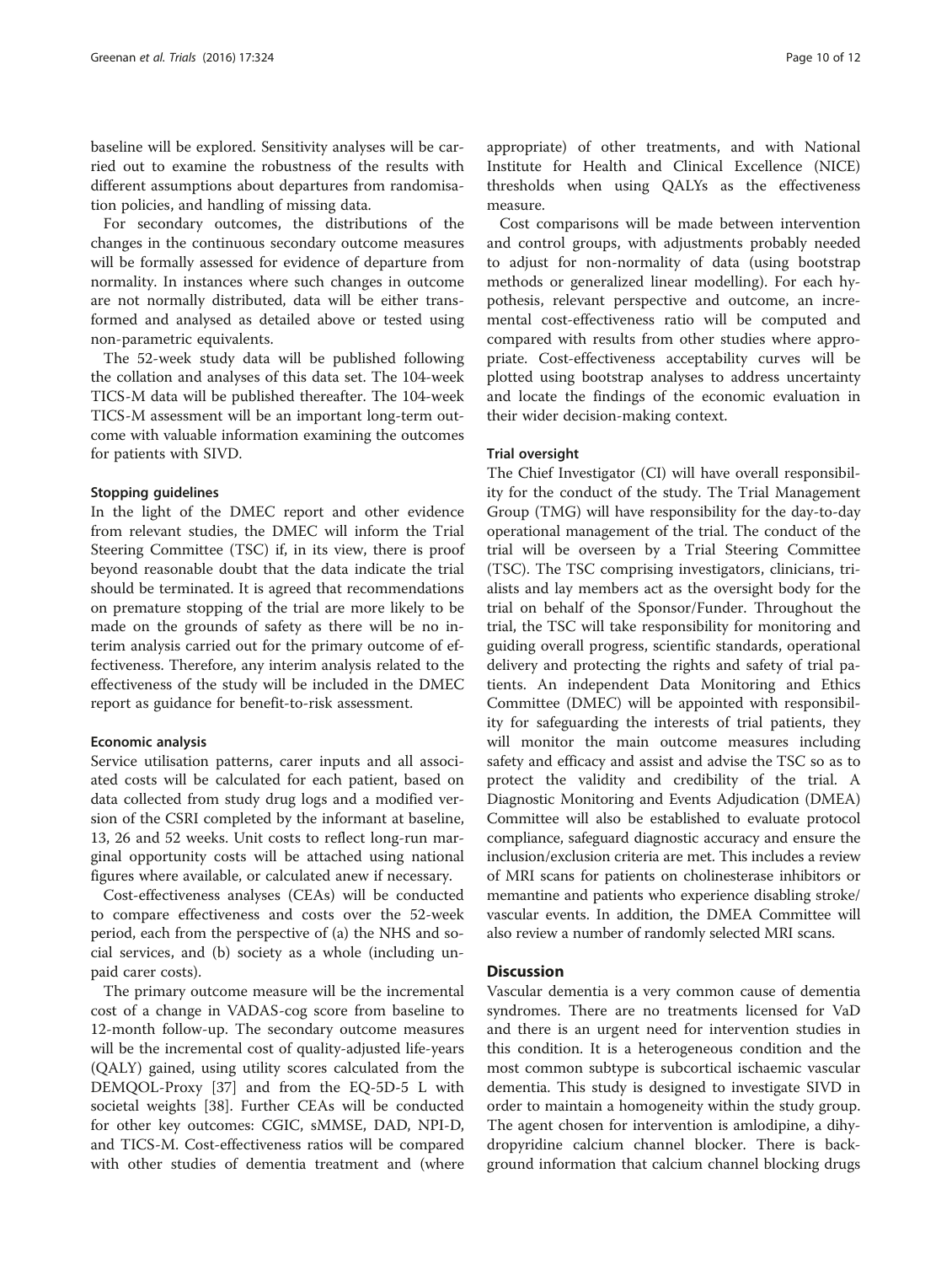baseline will be explored. Sensitivity analyses will be carried out to examine the robustness of the results with different assumptions about departures from randomisation policies, and handling of missing data.

For secondary outcomes, the distributions of the changes in the continuous secondary outcome measures will be formally assessed for evidence of departure from normality. In instances where such changes in outcome are not normally distributed, data will be either transformed and analysed as detailed above or tested using non-parametric equivalents.

The 52-week study data will be published following the collation and analyses of this data set. The 104-week TICS-M data will be published thereafter. The 104-week TICS-M assessment will be an important long-term outcome with valuable information examining the outcomes for patients with SIVD.

#### Stopping guidelines

In the light of the DMEC report and other evidence from relevant studies, the DMEC will inform the Trial Steering Committee (TSC) if, in its view, there is proof beyond reasonable doubt that the data indicate the trial should be terminated. It is agreed that recommendations on premature stopping of the trial are more likely to be made on the grounds of safety as there will be no interim analysis carried out for the primary outcome of effectiveness. Therefore, any interim analysis related to the effectiveness of the study will be included in the DMEC report as guidance for benefit-to-risk assessment.

### Economic analysis

Service utilisation patterns, carer inputs and all associated costs will be calculated for each patient, based on data collected from study drug logs and a modified version of the CSRI completed by the informant at baseline, 13, 26 and 52 weeks. Unit costs to reflect long-run marginal opportunity costs will be attached using national figures where available, or calculated anew if necessary.

Cost-effectiveness analyses (CEAs) will be conducted to compare effectiveness and costs over the 52-week period, each from the perspective of (a) the NHS and social services, and (b) society as a whole (including unpaid carer costs).

The primary outcome measure will be the incremental cost of a change in VADAS-cog score from baseline to 12-month follow-up. The secondary outcome measures will be the incremental cost of quality-adjusted life-years (QALY) gained, using utility scores calculated from the DEMQOL-Proxy [\[37](#page-11-0)] and from the EQ-5D-5 L with societal weights [[38\]](#page-11-0). Further CEAs will be conducted for other key outcomes: CGIC, sMMSE, DAD, NPI-D, and TICS-M. Cost-effectiveness ratios will be compared with other studies of dementia treatment and (where

appropriate) of other treatments, and with National Institute for Health and Clinical Excellence (NICE) thresholds when using QALYs as the effectiveness measure.

Cost comparisons will be made between intervention and control groups, with adjustments probably needed to adjust for non-normality of data (using bootstrap methods or generalized linear modelling). For each hypothesis, relevant perspective and outcome, an incremental cost-effectiveness ratio will be computed and compared with results from other studies where appropriate. Cost-effectiveness acceptability curves will be plotted using bootstrap analyses to address uncertainty and locate the findings of the economic evaluation in their wider decision-making context.

#### Trial oversight

The Chief Investigator (CI) will have overall responsibility for the conduct of the study. The Trial Management Group (TMG) will have responsibility for the day-to-day operational management of the trial. The conduct of the trial will be overseen by a Trial Steering Committee (TSC). The TSC comprising investigators, clinicians, trialists and lay members act as the oversight body for the trial on behalf of the Sponsor/Funder. Throughout the trial, the TSC will take responsibility for monitoring and guiding overall progress, scientific standards, operational delivery and protecting the rights and safety of trial patients. An independent Data Monitoring and Ethics Committee (DMEC) will be appointed with responsibility for safeguarding the interests of trial patients, they will monitor the main outcome measures including safety and efficacy and assist and advise the TSC so as to protect the validity and credibility of the trial. A Diagnostic Monitoring and Events Adjudication (DMEA) Committee will also be established to evaluate protocol compliance, safeguard diagnostic accuracy and ensure the inclusion/exclusion criteria are met. This includes a review of MRI scans for patients on cholinesterase inhibitors or memantine and patients who experience disabling stroke/ vascular events. In addition, the DMEA Committee will also review a number of randomly selected MRI scans.

### **Discussion**

Vascular dementia is a very common cause of dementia syndromes. There are no treatments licensed for VaD and there is an urgent need for intervention studies in this condition. It is a heterogeneous condition and the most common subtype is subcortical ischaemic vascular dementia. This study is designed to investigate SIVD in order to maintain a homogeneity within the study group. The agent chosen for intervention is amlodipine, a dihydropyridine calcium channel blocker. There is background information that calcium channel blocking drugs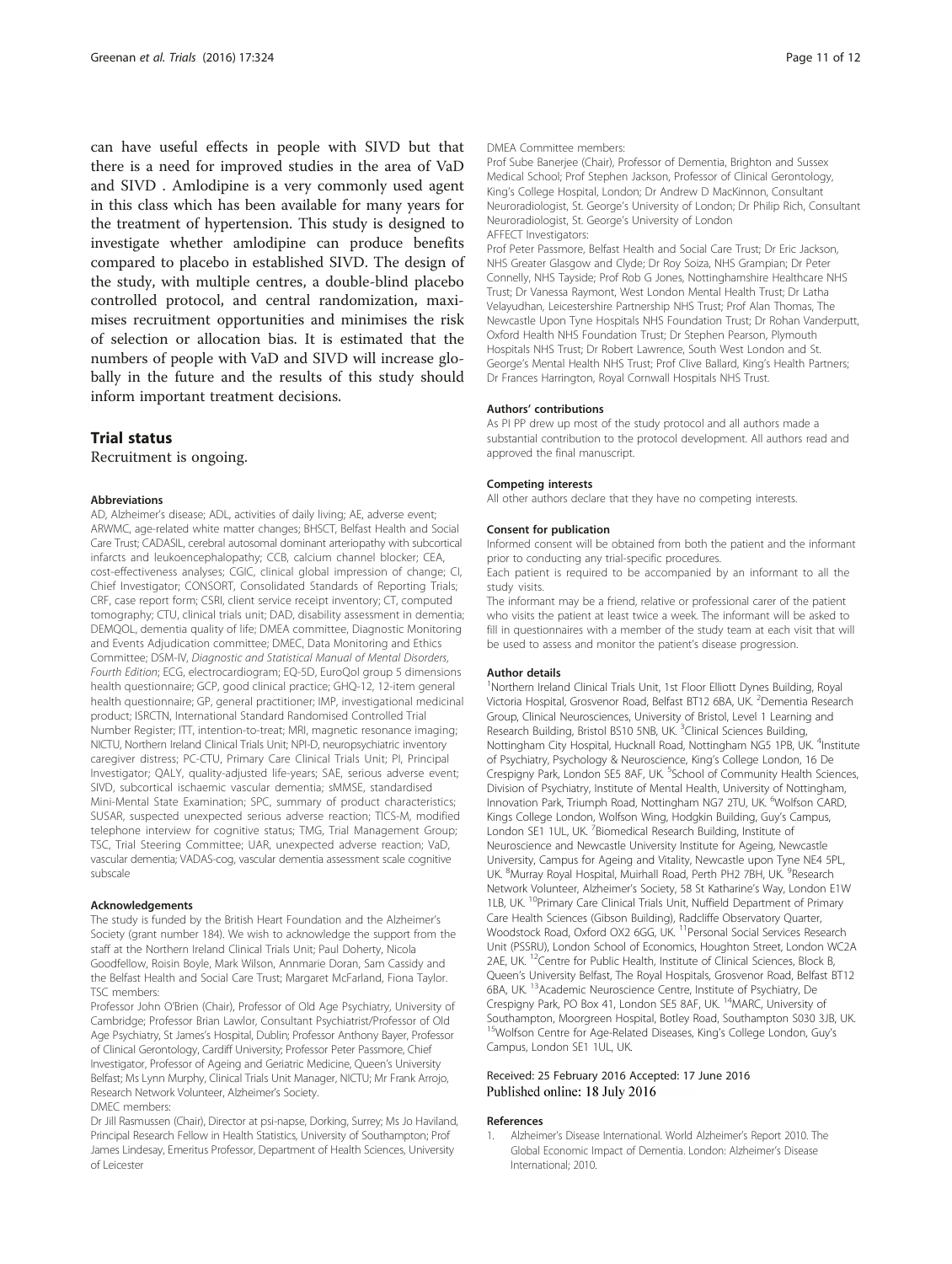<span id="page-10-0"></span>can have useful effects in people with SIVD but that there is a need for improved studies in the area of VaD and SIVD . Amlodipine is a very commonly used agent in this class which has been available for many years for the treatment of hypertension. This study is designed to investigate whether amlodipine can produce benefits compared to placebo in established SIVD. The design of the study, with multiple centres, a double-blind placebo controlled protocol, and central randomization, maximises recruitment opportunities and minimises the risk of selection or allocation bias. It is estimated that the numbers of people with VaD and SIVD will increase globally in the future and the results of this study should inform important treatment decisions.

### Trial status

Recruitment is ongoing.

#### Abbreviations

AD, Alzheimer's disease; ADL, activities of daily living; AE, adverse event; ARWMC, age-related white matter changes; BHSCT, Belfast Health and Social Care Trust; CADASIL, cerebral autosomal dominant arteriopathy with subcortical infarcts and leukoencephalopathy; CCB, calcium channel blocker; CEA, cost-effectiveness analyses; CGIC, clinical global impression of change; CI, Chief Investigator; CONSORT, Consolidated Standards of Reporting Trials; CRF, case report form; CSRI, client service receipt inventory; CT, computed tomography; CTU, clinical trials unit; DAD, disability assessment in dementia; DEMQOL, dementia quality of life; DMEA committee, Diagnostic Monitoring and Events Adjudication committee; DMEC, Data Monitoring and Ethics Committee; DSM-IV, Diagnostic and Statistical Manual of Mental Disorders, Fourth Edition; ECG, electrocardiogram; EQ-5D, EuroQol group 5 dimensions health questionnaire; GCP, good clinical practice; GHQ-12, 12-item general health questionnaire; GP, general practitioner; IMP, investigational medicinal product; ISRCTN, International Standard Randomised Controlled Trial Number Register; ITT, intention-to-treat; MRI, magnetic resonance imaging; NICTU, Northern Ireland Clinical Trials Unit; NPI-D, neuropsychiatric inventory caregiver distress; PC-CTU, Primary Care Clinical Trials Unit; PI, Principal Investigator; QALY, quality-adjusted life-years; SAE, serious adverse event; SIVD, subcortical ischaemic vascular dementia; sMMSE, standardised Mini-Mental State Examination; SPC, summary of product characteristics; SUSAR, suspected unexpected serious adverse reaction; TICS-M, modified telephone interview for cognitive status; TMG, Trial Management Group; TSC, Trial Steering Committee; UAR, unexpected adverse reaction; VaD, vascular dementia; VADAS-cog, vascular dementia assessment scale cognitive subscale

#### Acknowledgements

The study is funded by the British Heart Foundation and the Alzheimer's Society (grant number 184). We wish to acknowledge the support from the staff at the Northern Ireland Clinical Trials Unit; Paul Doherty, Nicola Goodfellow, Roisin Boyle, Mark Wilson, Annmarie Doran, Sam Cassidy and the Belfast Health and Social Care Trust; Margaret McFarland, Fiona Taylor. TSC members:

Professor John O'Brien (Chair), Professor of Old Age Psychiatry, University of Cambridge; Professor Brian Lawlor, Consultant Psychiatrist/Professor of Old Age Psychiatry, St James's Hospital, Dublin; Professor Anthony Bayer, Professor of Clinical Gerontology, Cardiff University; Professor Peter Passmore, Chief Investigator, Professor of Ageing and Geriatric Medicine, Queen's University Belfast; Ms Lynn Murphy, Clinical Trials Unit Manager, NICTU; Mr Frank Arrojo, Research Network Volunteer, Alzheimer's Society. DMEC members:

Dr Jill Rasmussen (Chair), Director at psi-napse, Dorking, Surrey; Ms Jo Haviland, Principal Research Fellow in Health Statistics, University of Southampton; Prof James Lindesay, Emeritus Professor, Department of Health Sciences, University of Leicester

#### DMEA Committee members:

Prof Sube Banerjee (Chair), Professor of Dementia, Brighton and Sussex Medical School; Prof Stephen Jackson, Professor of Clinical Gerontology, King's College Hospital, London; Dr Andrew D MacKinnon, Consultant Neuroradiologist, St. George's University of London; Dr Philip Rich, Consultant Neuroradiologist, St. George's University of London AFFECT Investigators:

Prof Peter Passmore, Belfast Health and Social Care Trust; Dr Eric Jackson, NHS Greater Glasgow and Clyde; Dr Roy Soiza, NHS Grampian; Dr Peter Connelly, NHS Tayside; Prof Rob G Jones, Nottinghamshire Healthcare NHS Trust; Dr Vanessa Raymont, West London Mental Health Trust; Dr Latha Velayudhan, Leicestershire Partnership NHS Trust; Prof Alan Thomas, The Newcastle Upon Tyne Hospitals NHS Foundation Trust; Dr Rohan Vanderputt, Oxford Health NHS Foundation Trust; Dr Stephen Pearson, Plymouth Hospitals NHS Trust; Dr Robert Lawrence, South West London and St. George's Mental Health NHS Trust; Prof Clive Ballard, King's Health Partners; Dr Frances Harrington, Royal Cornwall Hospitals NHS Trust.

#### Authors' contributions

As PI PP drew up most of the study protocol and all authors made a substantial contribution to the protocol development. All authors read and approved the final manuscript.

#### Competing interests

All other authors declare that they have no competing interests.

#### Consent for publication

Informed consent will be obtained from both the patient and the informant prior to conducting any trial-specific procedures.

Each patient is required to be accompanied by an informant to all the study visits.

The informant may be a friend, relative or professional carer of the patient who visits the patient at least twice a week. The informant will be asked to fill in questionnaires with a member of the study team at each visit that will be used to assess and monitor the patient's disease progression.

#### Author details

<sup>1</sup>Northern Ireland Clinical Trials Unit, 1st Floor Elliott Dynes Building, Royal Victoria Hospital, Grosvenor Road, Belfast BT12 6BA, UK. <sup>2</sup>Dementia Research Group, Clinical Neurosciences, University of Bristol, Level 1 Learning and Research Building, Bristol BS10 5NB, UK. <sup>3</sup>Clinical Sciences Building Nottingham City Hospital, Hucknall Road, Nottingham NG5 1PB, UK. <sup>4</sup>Institute of Psychiatry, Psychology & Neuroscience, King's College London, 16 De Crespigny Park, London SE5 8AF, UK. <sup>5</sup>School of Community Health Sciences, Division of Psychiatry, Institute of Mental Health, University of Nottingham, Innovation Park, Triumph Road, Nottingham NG7 2TU, UK. <sup>6</sup>Wolfson CARD Kings College London, Wolfson Wing, Hodgkin Building, Guy's Campus, London SE1 1UL, UK. <sup>7</sup> Biomedical Research Building, Institute of Neuroscience and Newcastle University Institute for Ageing, Newcastle University, Campus for Ageing and Vitality, Newcastle upon Tyne NE4 5PL, UK. <sup>8</sup>Murray Royal Hospital, Muirhall Road, Perth PH2 7BH, UK. <sup>9</sup>Research Network Volunteer, Alzheimer's Society, 58 St Katharine's Way, London E1W 1LB, UK. <sup>10</sup>Primary Care Clinical Trials Unit, Nuffield Department of Primary Care Health Sciences (Gibson Building), Radcliffe Observatory Quarter, Woodstock Road, Oxford OX2 6GG, UK. 11Personal Social Services Research Unit (PSSRU), London School of Economics, Houghton Street, London WC2A 2AE, UK. <sup>12</sup>Centre for Public Health, Institute of Clinical Sciences, Block B, Queen's University Belfast, The Royal Hospitals, Grosvenor Road, Belfast BT12 6BA, UK. 13Academic Neuroscience Centre, Institute of Psychiatry, De Crespigny Park, PO Box 41, London SE5 8AF, UK. 14MARC, University of Southampton, Moorgreen Hospital, Botley Road, Southampton S030 3JB, UK. <sup>15</sup>Wolfson Centre for Age-Related Diseases, King's College London, Guy's Campus, London SE1 1UL, UK.

#### Received: 25 February 2016 Accepted: 17 June 2016 Published online: 18 July 2016

#### References

1. Alzheimer's Disease International. World Alzheimer's Report 2010. The Global Economic Impact of Dementia. London: Alzheimer's Disease International; 2010.